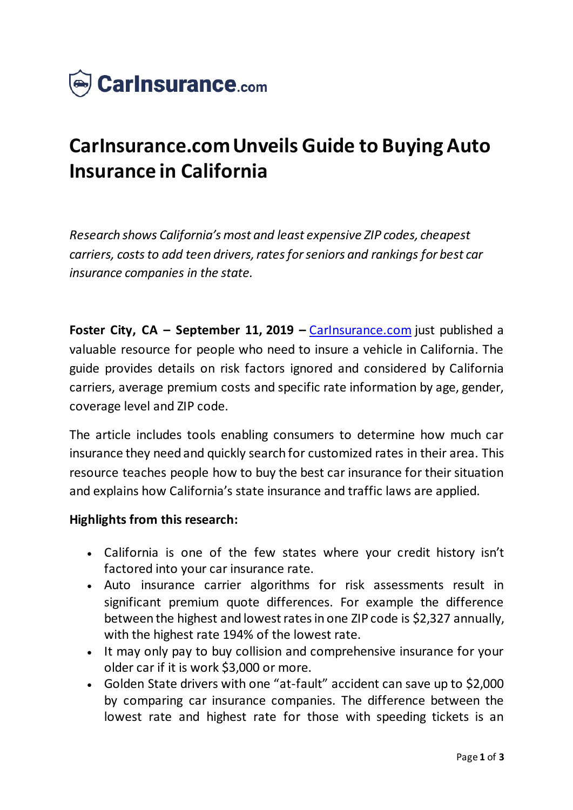

## **CarInsurance.com Unveils Guide to Buying Auto Insurance in California**

*Research shows California's most and least expensive ZIP codes, cheapest carriers, costs to add teen drivers, rates for seniors and rankings for best car insurance companies in the state.*

**Foster City, CA – September 11, 2019 –** [CarInsurance.com](https://www.carinsurance.com/) just published a valuable resource for people who need to insure a vehicle in California. The guide provides details on risk factors ignored and considered by California carriers, average premium costs and specific rate information by age, gender, coverage level and ZIP code.

The article includes tools enabling consumers to determine how much car insurance they need and quickly search for customized rates in their area. This resource teaches people how to buy the best car insurance for their situation and explains how California's state insurance and traffic laws are applied.

## **Highlights from this research:**

- California is one of the few states where your credit history isn't factored into your car insurance rate.
- Auto insurance carrier algorithms for risk assessments result in significant premium quote differences. For example the difference between the highest and lowest rates in one ZIP code is \$2,327 annually, with the highest rate 194% of the lowest rate.
- It may only pay to buy collision and comprehensive insurance for your older car if it is work \$3,000 or more.
- Golden State drivers with one "at-fault" accident can save up to \$2,000 by comparing car insurance companies. The difference between the lowest rate and highest rate for those with speeding tickets is an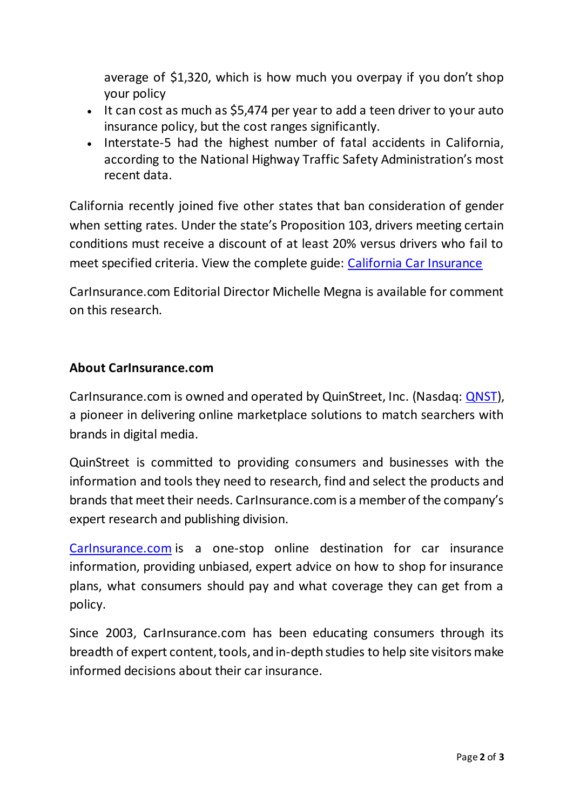average of \$1,320, which is how much you overpay if you don't shop your policy

- It can cost as much as \$5,474 per year to add a teen driver to your auto insurance policy, but the cost ranges significantly.
- Interstate-5 had the highest number of fatal accidents in California, according to the National Highway Traffic Safety Administration's most recent data.

California recently joined five other states that ban consideration of gender when setting rates. Under the state's Proposition 103, drivers meeting certain conditions must receive a discount of at least 20% versus drivers who fail to meet specified criteria. View the complete guide: [California Car Insuranc](https://www.carinsurance.com/state/California-car-insurance.aspx)e

CarInsurance.com Editorial Director Michelle Megna is available for comment on this research.

## **About CarInsurance.com**

CarInsurance.com is owned and operated by QuinStreet, Inc. (Nasdaq: [QNST\)](https://www.nasdaq.com/market-activity/stocks/qnst), a pioneer in delivering online marketplace solutions to match searchers with brands in digital media.

QuinStreet is committed to providing consumers and businesses with the information and tools they need to research, find and select the products and brands that meet their needs. CarInsurance.com is a member of the company's expert research and publishing division.

[CarInsurance.com](https://www.carinsurance.com/) is a one-stop online destination for car insurance information, providing unbiased, expert advice on how to shop for insurance plans, what consumers should pay and what coverage they can get from a policy.

Since 2003, CarInsurance.com has been educating consumers through its breadth of expert content, tools, and in-depth studies to help site visitors make informed decisions about their car insurance.